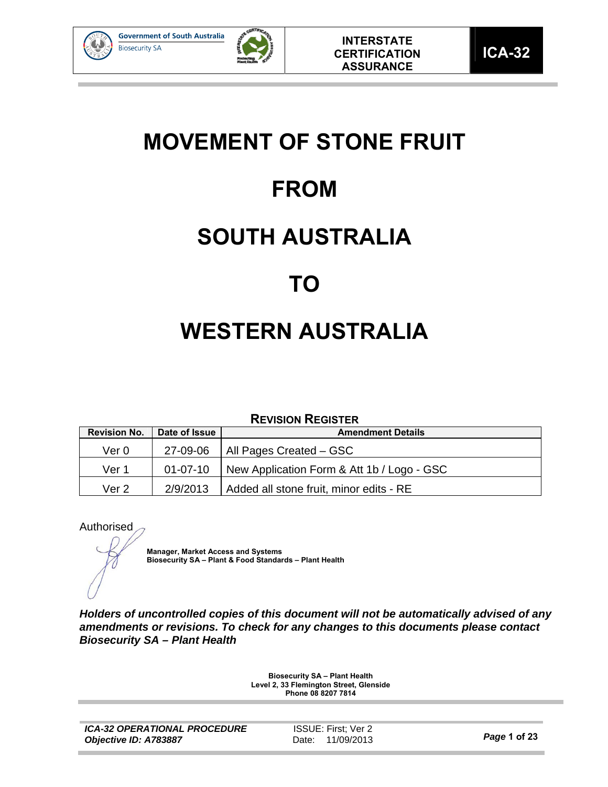



## **MOVEMENT OF STONE FRUIT**

## **FROM**

## **SOUTH AUSTRALIA**

## **TO**

# **WESTERN AUSTRALIA**

## **REVISION REGISTER**

| <b>Revision No.</b> | Date of Issue | <b>Amendment Details</b>                   |
|---------------------|---------------|--------------------------------------------|
| Ver 0               | 27-09-06      | All Pages Created – GSC                    |
| Ver 1               | 01-07-10      | New Application Form & Att 1b / Logo - GSC |
| Ver 2               | 2/9/2013      | Added all stone fruit, minor edits - RE    |

### Authorised

**Manager, Market Access and Systems Biosecurity SA – Plant & Food Standards – Plant Health** 

*Holders of uncontrolled copies of this document will not be automatically advised of any amendments or revisions. To check for any changes to this documents please contact Biosecurity SA – Plant Health* 

> **Biosecurity SA – Plant Health Level 2, 33 Flemington Street, Glenside Phone 08 8207 7814**

ISSUE: First; Ver 2 Date: 11/09/2013 *Page* **1 of 23**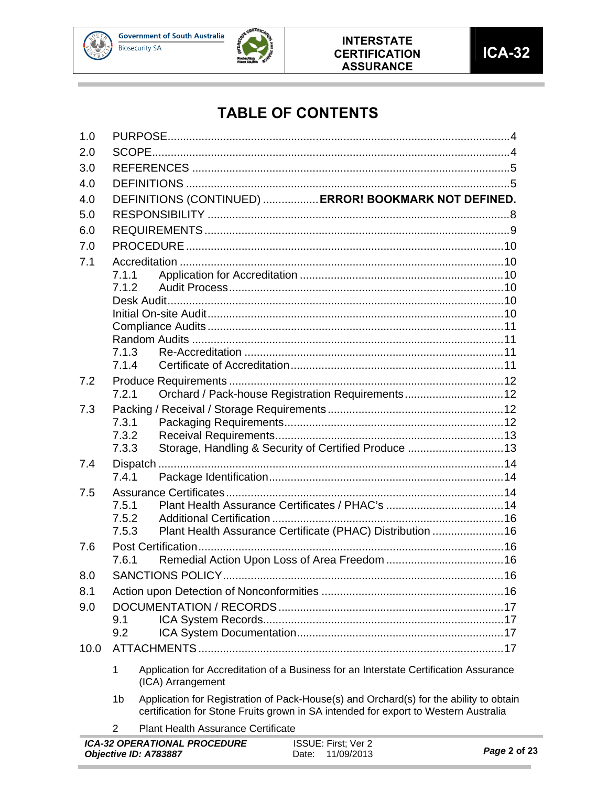

**Contract Contract Contract** 

**College** 



## **TABLE OF CONTENTS**

|      |                | ICA-32 OPERATIONAL PROCEDURE<br>ISSUE: First; Ver 2<br>Objective ID: A783887<br>11/09/2013<br>Date:                                                                           | Page 2 of 23 |
|------|----------------|-------------------------------------------------------------------------------------------------------------------------------------------------------------------------------|--------------|
|      | 2              | <b>Plant Health Assurance Certificate</b>                                                                                                                                     |              |
|      | 1 <sub>b</sub> | Application for Registration of Pack-House(s) and Orchard(s) for the ability to obtain<br>certification for Stone Fruits grown in SA intended for export to Western Australia |              |
|      | 1              | Application for Accreditation of a Business for an Interstate Certification Assurance<br>(ICA) Arrangement                                                                    |              |
| 10.0 |                |                                                                                                                                                                               |              |
|      | 9.2            |                                                                                                                                                                               |              |
| 9.0  | 9.1            |                                                                                                                                                                               |              |
| 8.1  |                |                                                                                                                                                                               |              |
| 8.0  |                |                                                                                                                                                                               |              |
|      | 7.6.1          |                                                                                                                                                                               |              |
| 7.6  |                |                                                                                                                                                                               |              |
|      | 7.5.3          | Plant Health Assurance Certificate (PHAC) Distribution 16                                                                                                                     |              |
|      | 7.5.2          |                                                                                                                                                                               |              |
|      | 7.5.1          |                                                                                                                                                                               |              |
| 7.5  |                |                                                                                                                                                                               |              |
| 7.4  | 7.4.1          |                                                                                                                                                                               |              |
|      | 7.3.3          | Storage, Handling & Security of Certified Produce 13                                                                                                                          |              |
|      | 7.3.2          |                                                                                                                                                                               |              |
|      | 7.3.1          |                                                                                                                                                                               |              |
| 7.3  |                |                                                                                                                                                                               |              |
| 7.2  | 7.2.1          | Orchard / Pack-house Registration Requirements12                                                                                                                              |              |
|      | 7.1.4          |                                                                                                                                                                               |              |
|      | 7.1.3          |                                                                                                                                                                               |              |
|      |                |                                                                                                                                                                               |              |
|      |                |                                                                                                                                                                               |              |
|      |                |                                                                                                                                                                               |              |
|      | 7.1.2          |                                                                                                                                                                               |              |
|      | 7.1.1          |                                                                                                                                                                               |              |
| 7.1  |                |                                                                                                                                                                               |              |
| 7.0  |                |                                                                                                                                                                               |              |
| 6.0  |                |                                                                                                                                                                               |              |
| 5.0  |                |                                                                                                                                                                               |              |
| 4.0  |                | DEFINITIONS (CONTINUED)  ERROR! BOOKMARK NOT DEFINED.                                                                                                                         |              |
| 4.0  |                |                                                                                                                                                                               |              |
| 3.0  |                |                                                                                                                                                                               |              |
| 2.0  |                |                                                                                                                                                                               |              |
| 1.0  |                |                                                                                                                                                                               |              |

m.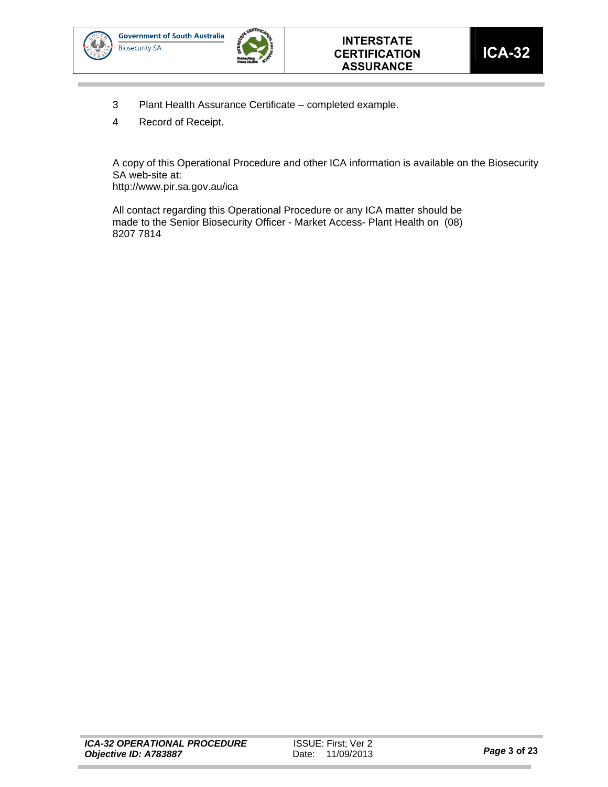



- 3 Plant Health Assurance Certificate completed example.
- 4 Record of Receipt.

A copy of this Operational Procedure and other ICA information is available on the Biosecurity SA web-site at:

http://www.pir.sa.gov.au/ica

All contact regarding this Operational Procedure or any ICA matter should be made to the Senior Biosecurity Officer - Market Access- Plant Health on (08) 8207 7814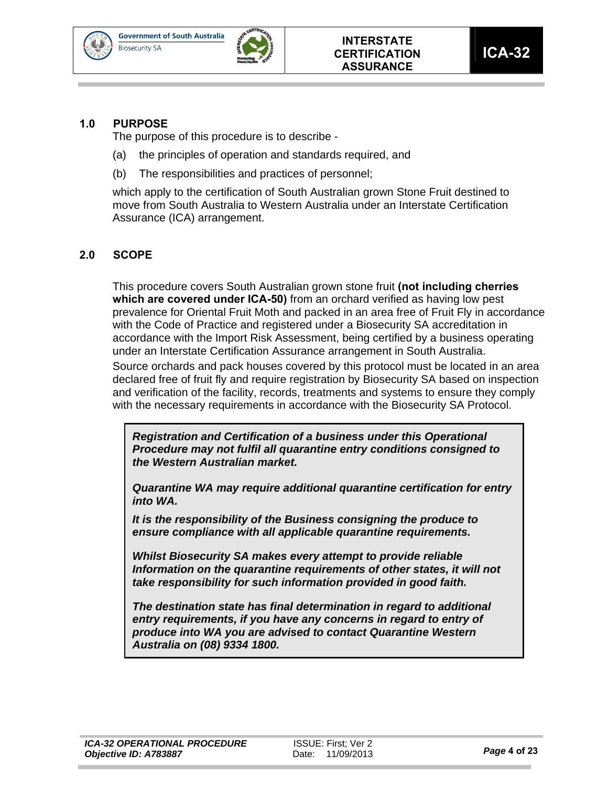



## **1.0 PURPOSE**

The purpose of this procedure is to describe -

- (a) the principles of operation and standards required, and
- (b) The responsibilities and practices of personnel;

which apply to the certification of South Australian grown Stone Fruit destined to move from South Australia to Western Australia under an Interstate Certification Assurance (ICA) arrangement.

## **2.0 SCOPE**

This procedure covers South Australian grown stone fruit **(not including cherries which are covered under ICA-50)** from an orchard verified as having low pest prevalence for Oriental Fruit Moth and packed in an area free of Fruit Fly in accordance with the Code of Practice and registered under a Biosecurity SA accreditation in accordance with the Import Risk Assessment, being certified by a business operating under an Interstate Certification Assurance arrangement in South Australia.

Source orchards and pack houses covered by this protocol must be located in an area declared free of fruit fly and require registration by Biosecurity SA based on inspection and verification of the facility, records, treatments and systems to ensure they comply with the necessary requirements in accordance with the Biosecurity SA Protocol.

*Registration and Certification of a business under this Operational Procedure may not fulfil all quarantine entry conditions consigned to the Western Australian market.* 

*Quarantine WA may require additional quarantine certification for entry into WA.* 

*It is the responsibility of the Business consigning the produce to ensure compliance with all applicable quarantine requirements.* 

*Whilst Biosecurity SA makes every attempt to provide reliable Information on the quarantine requirements of other states, it will not take responsibility for such information provided in good faith.* 

*The destination state has final determination in regard to additional entry requirements, if you have any concerns in regard to entry of produce into WA you are advised to contact Quarantine Western Australia on (08) 9334 1800.*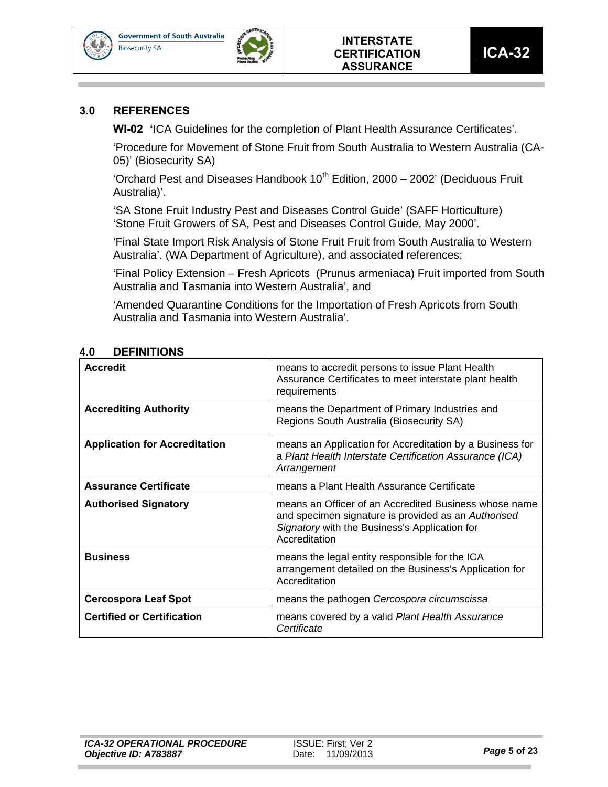



#### **3.0 REFERENCES**

**WI-02 '**ICA Guidelines for the completion of Plant Health Assurance Certificates'.

'Procedure for Movement of Stone Fruit from South Australia to Western Australia (CA-05)' (Biosecurity SA)

'Orchard Pest and Diseases Handbook  $10^{th}$  Edition, 2000 – 2002' (Deciduous Fruit Australia)'.

'SA Stone Fruit Industry Pest and Diseases Control Guide' (SAFF Horticulture) 'Stone Fruit Growers of SA, Pest and Diseases Control Guide, May 2000'.

'Final State Import Risk Analysis of Stone Fruit Fruit from South Australia to Western Australia'. (WA Department of Agriculture), and associated references;

'Final Policy Extension – Fresh Apricots (Prunus armeniaca) Fruit imported from South Australia and Tasmania into Western Australia', and

'Amended Quarantine Conditions for the Importation of Fresh Apricots from South Australia and Tasmania into Western Australia'.

| <b>Accredit</b>                      | means to accredit persons to issue Plant Health<br>Assurance Certificates to meet interstate plant health<br>requirements                                                      |
|--------------------------------------|--------------------------------------------------------------------------------------------------------------------------------------------------------------------------------|
| <b>Accrediting Authority</b>         | means the Department of Primary Industries and<br>Regions South Australia (Biosecurity SA)                                                                                     |
| <b>Application for Accreditation</b> | means an Application for Accreditation by a Business for<br>a Plant Health Interstate Certification Assurance (ICA)<br>Arrangement                                             |
| <b>Assurance Certificate</b>         | means a Plant Health Assurance Certificate                                                                                                                                     |
| <b>Authorised Signatory</b>          | means an Officer of an Accredited Business whose name<br>and specimen signature is provided as an Authorised<br>Signatory with the Business's Application for<br>Accreditation |
| <b>Business</b>                      | means the legal entity responsible for the ICA<br>arrangement detailed on the Business's Application for<br>Accreditation                                                      |
| <b>Cercospora Leaf Spot</b>          | means the pathogen Cercospora circumscissa                                                                                                                                     |
| <b>Certified or Certification</b>    | means covered by a valid Plant Health Assurance<br>Certificate                                                                                                                 |

#### **4.0 DEFINITIONS**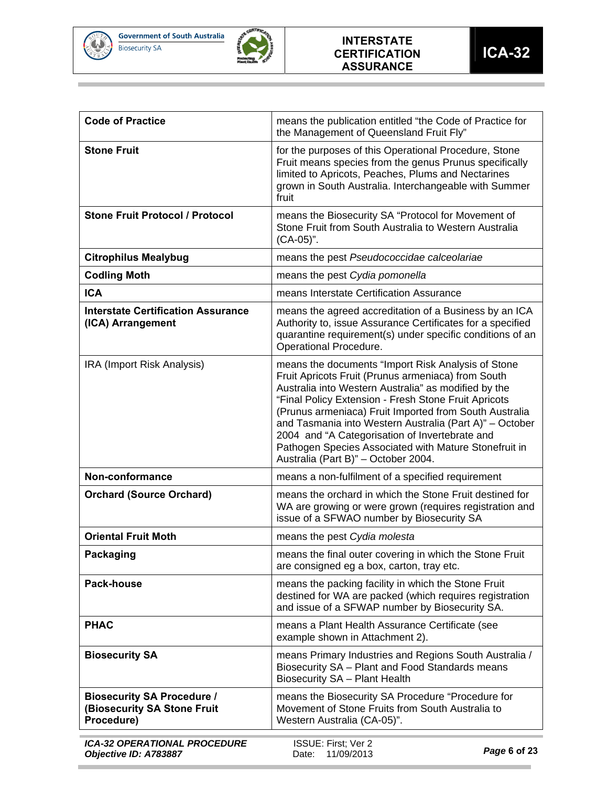

**COL** 

and the control of the control of



| <b>Code of Practice</b>                                                        | means the publication entitled "the Code of Practice for<br>the Management of Queensland Fruit Fly"                                                                                                                                                                                                                                                                                                                                                                                             |
|--------------------------------------------------------------------------------|-------------------------------------------------------------------------------------------------------------------------------------------------------------------------------------------------------------------------------------------------------------------------------------------------------------------------------------------------------------------------------------------------------------------------------------------------------------------------------------------------|
| <b>Stone Fruit</b>                                                             | for the purposes of this Operational Procedure, Stone<br>Fruit means species from the genus Prunus specifically<br>limited to Apricots, Peaches, Plums and Nectarines<br>grown in South Australia. Interchangeable with Summer<br>fruit                                                                                                                                                                                                                                                         |
| <b>Stone Fruit Protocol / Protocol</b>                                         | means the Biosecurity SA "Protocol for Movement of<br>Stone Fruit from South Australia to Western Australia<br>(CA-05)".                                                                                                                                                                                                                                                                                                                                                                        |
| <b>Citrophilus Mealybug</b>                                                    | means the pest Pseudococcidae calceolariae                                                                                                                                                                                                                                                                                                                                                                                                                                                      |
| <b>Codling Moth</b>                                                            | means the pest Cydia pomonella                                                                                                                                                                                                                                                                                                                                                                                                                                                                  |
| <b>ICA</b>                                                                     | means Interstate Certification Assurance                                                                                                                                                                                                                                                                                                                                                                                                                                                        |
| <b>Interstate Certification Assurance</b><br>(ICA) Arrangement                 | means the agreed accreditation of a Business by an ICA<br>Authority to, issue Assurance Certificates for a specified<br>quarantine requirement(s) under specific conditions of an<br>Operational Procedure.                                                                                                                                                                                                                                                                                     |
| IRA (Import Risk Analysis)                                                     | means the documents "Import Risk Analysis of Stone<br>Fruit Apricots Fruit (Prunus armeniaca) from South<br>Australia into Western Australia" as modified by the<br>"Final Policy Extension - Fresh Stone Fruit Apricots<br>(Prunus armeniaca) Fruit Imported from South Australia<br>and Tasmania into Western Australia (Part A)" - October<br>2004 and "A Categorisation of Invertebrate and<br>Pathogen Species Associated with Mature Stonefruit in<br>Australia (Part B)" - October 2004. |
| Non-conformance                                                                | means a non-fulfilment of a specified requirement                                                                                                                                                                                                                                                                                                                                                                                                                                               |
| <b>Orchard (Source Orchard)</b>                                                | means the orchard in which the Stone Fruit destined for<br>WA are growing or were grown (requires registration and<br>issue of a SFWAO number by Biosecurity SA                                                                                                                                                                                                                                                                                                                                 |
| <b>Oriental Fruit Moth</b>                                                     | means the pest Cydia molesta                                                                                                                                                                                                                                                                                                                                                                                                                                                                    |
| <b>Packaging</b>                                                               | means the final outer covering in which the Stone Fruit<br>are consigned eg a box, carton, tray etc.                                                                                                                                                                                                                                                                                                                                                                                            |
| Pack-house                                                                     | means the packing facility in which the Stone Fruit<br>destined for WA are packed (which requires registration<br>and issue of a SFWAP number by Biosecurity SA.                                                                                                                                                                                                                                                                                                                                |
| <b>PHAC</b>                                                                    | means a Plant Health Assurance Certificate (see<br>example shown in Attachment 2).                                                                                                                                                                                                                                                                                                                                                                                                              |
| <b>Biosecurity SA</b>                                                          | means Primary Industries and Regions South Australia /<br>Biosecurity SA - Plant and Food Standards means<br>Biosecurity SA - Plant Health                                                                                                                                                                                                                                                                                                                                                      |
| <b>Biosecurity SA Procedure /</b><br>(Biosecurity SA Stone Fruit<br>Procedure) | means the Biosecurity SA Procedure "Procedure for<br>Movement of Stone Fruits from South Australia to<br>Western Australia (CA-05)".                                                                                                                                                                                                                                                                                                                                                            |
| <b>ICA-32 OPERATIONAL PROCEDURE</b><br>Objective ID: A783887                   | ISSUE: First; Ver 2<br>Page 6 of 23<br>11/09/2013<br>Date:                                                                                                                                                                                                                                                                                                                                                                                                                                      |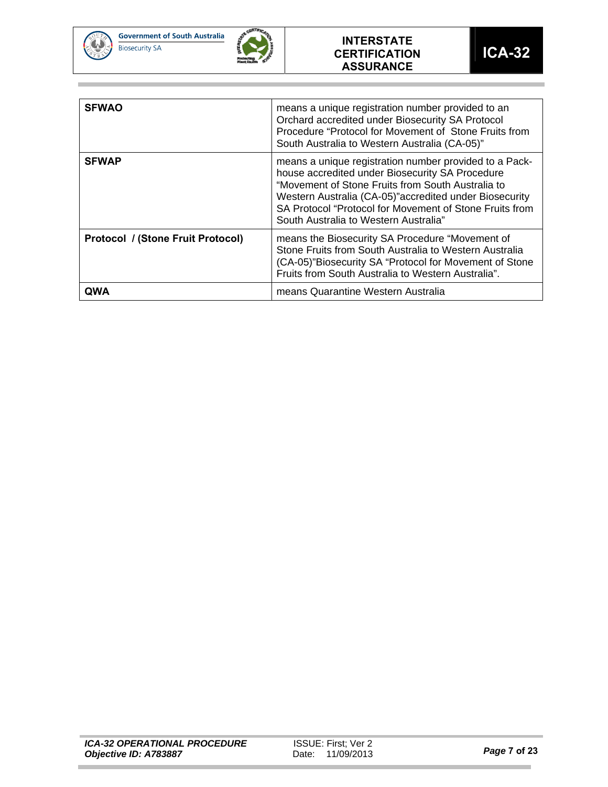



#### **INTERSTATE CERTIFICATION ASSURANCE**

| <b>SFWAO</b>                             | means a unique registration number provided to an<br>Orchard accredited under Biosecurity SA Protocol<br>Procedure "Protocol for Movement of Stone Fruits from<br>South Australia to Western Australia (CA-05)"                                                                                                               |
|------------------------------------------|-------------------------------------------------------------------------------------------------------------------------------------------------------------------------------------------------------------------------------------------------------------------------------------------------------------------------------|
| <b>SFWAP</b>                             | means a unique registration number provided to a Pack-<br>house accredited under Biosecurity SA Procedure<br>"Movement of Stone Fruits from South Australia to<br>Western Australia (CA-05)" accredited under Biosecurity<br>SA Protocol "Protocol for Movement of Stone Fruits from<br>South Australia to Western Australia" |
| <b>Protocol / (Stone Fruit Protocol)</b> | means the Biosecurity SA Procedure "Movement of<br>Stone Fruits from South Australia to Western Australia<br>(CA-05)"Biosecurity SA "Protocol for Movement of Stone<br>Fruits from South Australia to Western Australia".                                                                                                     |
| QWA                                      | means Quarantine Western Australia                                                                                                                                                                                                                                                                                            |

п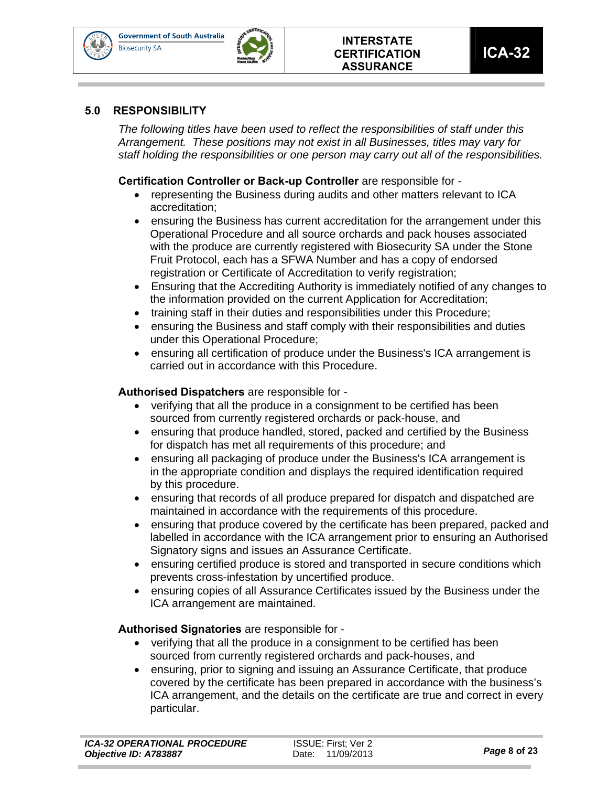**Government of South Australia Biosecurity SA** 



**ICA-32** 

#### **5.0 RESPONSIBILITY**

*The following titles have been used to reflect the responsibilities of staff under this Arrangement. These positions may not exist in all Businesses, titles may vary for staff holding the responsibilities or one person may carry out all of the responsibilities.* 

**Certification Controller or Back-up Controller** are responsible for -

- representing the Business during audits and other matters relevant to ICA accreditation;
- ensuring the Business has current accreditation for the arrangement under this Operational Procedure and all source orchards and pack houses associated with the produce are currently registered with Biosecurity SA under the Stone Fruit Protocol, each has a SFWA Number and has a copy of endorsed registration or Certificate of Accreditation to verify registration;
- Ensuring that the Accrediting Authority is immediately notified of any changes to the information provided on the current Application for Accreditation;
- training staff in their duties and responsibilities under this Procedure;
- ensuring the Business and staff comply with their responsibilities and duties under this Operational Procedure;
- ensuring all certification of produce under the Business's ICA arrangement is carried out in accordance with this Procedure.

#### **Authorised Dispatchers** are responsible for -

- verifying that all the produce in a consignment to be certified has been sourced from currently registered orchards or pack-house, and
- ensuring that produce handled, stored, packed and certified by the Business for dispatch has met all requirements of this procedure; and
- ensuring all packaging of produce under the Business's ICA arrangement is in the appropriate condition and displays the required identification required by this procedure.
- ensuring that records of all produce prepared for dispatch and dispatched are maintained in accordance with the requirements of this procedure.
- ensuring that produce covered by the certificate has been prepared, packed and labelled in accordance with the ICA arrangement prior to ensuring an Authorised Signatory signs and issues an Assurance Certificate.
- ensuring certified produce is stored and transported in secure conditions which prevents cross-infestation by uncertified produce.
- ensuring copies of all Assurance Certificates issued by the Business under the ICA arrangement are maintained.

### **Authorised Signatories** are responsible for -

- verifying that all the produce in a consignment to be certified has been sourced from currently registered orchards and pack-houses, and
- ensuring, prior to signing and issuing an Assurance Certificate, that produce covered by the certificate has been prepared in accordance with the business's ICA arrangement, and the details on the certificate are true and correct in every particular.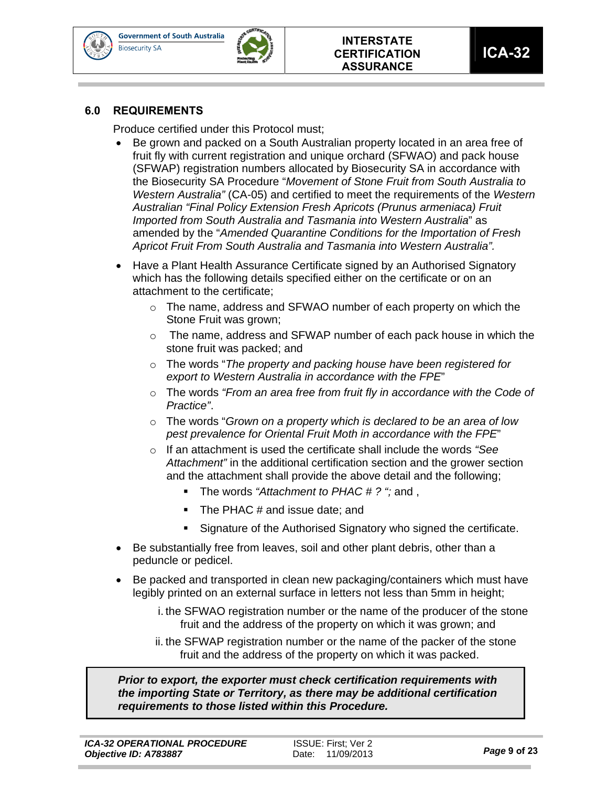



### **6.0 REQUIREMENTS**

Produce certified under this Protocol must;

- Be grown and packed on a South Australian property located in an area free of fruit fly with current registration and unique orchard (SFWAO) and pack house (SFWAP) registration numbers allocated by Biosecurity SA in accordance with the Biosecurity SA Procedure "*Movement of Stone Fruit from South Australia to Western Australia"* (CA-05) and certified to meet the requirements of the *Western Australian "Final Policy Extension Fresh Apricots (Prunus armeniaca) Fruit Imported from South Australia and Tasmania into Western Australia*" as amended by the "*Amended Quarantine Conditions for the Importation of Fresh Apricot Fruit From South Australia and Tasmania into Western Australia".*
- Have a Plant Health Assurance Certificate signed by an Authorised Signatory which has the following details specified either on the certificate or on an attachment to the certificate;
	- o The name, address and SFWAO number of each property on which the Stone Fruit was grown;
	- $\circ$  The name, address and SFWAP number of each pack house in which the stone fruit was packed; and
	- o The words "*The property and packing house have been registered for export to Western Australia in accordance with the FPE*"
	- o The words *"From an area free from fruit fly in accordance with the Code of Practice"*.
	- o The words "*Grown on a property which is declared to be an area of low pest prevalence for Oriental Fruit Moth in accordance with the FPE*"
	- o If an attachment is used the certificate shall include the words *"See Attachment"* in the additional certification section and the grower section and the attachment shall provide the above detail and the following;
		- The words *"Attachment to PHAC # ? ";* and ,
		- The PHAC # and issue date; and
		- Signature of the Authorised Signatory who signed the certificate.
- Be substantially free from leaves, soil and other plant debris, other than a peduncle or pedicel.
- Be packed and transported in clean new packaging/containers which must have legibly printed on an external surface in letters not less than 5mm in height;
	- i. the SFWAO registration number or the name of the producer of the stone fruit and the address of the property on which it was grown; and
	- ii. the SFWAP registration number or the name of the packer of the stone fruit and the address of the property on which it was packed.

*Prior to export, the exporter must check certification requirements with the importing State or Territory, as there may be additional certification requirements to those listed within this Procedure.*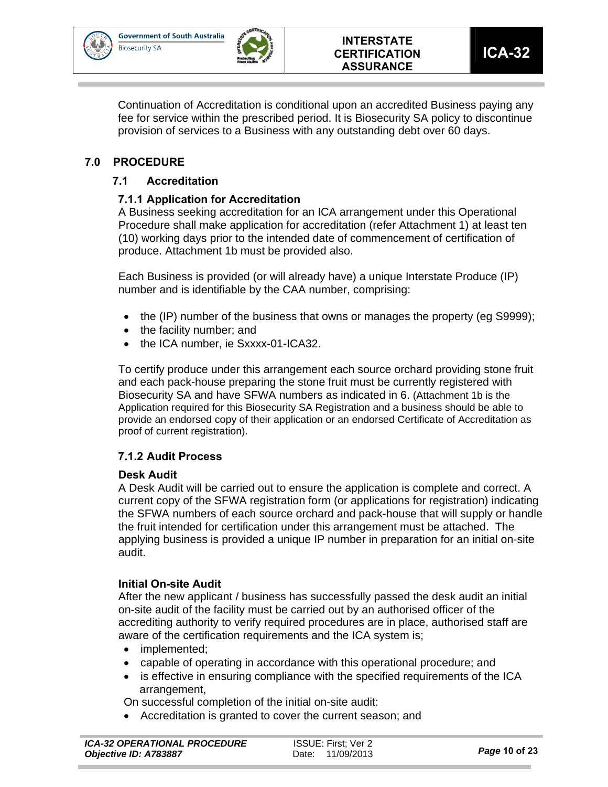



Continuation of Accreditation is conditional upon an accredited Business paying any fee for service within the prescribed period. It is Biosecurity SA policy to discontinue provision of services to a Business with any outstanding debt over 60 days.

## **7.0 PROCEDURE**

## **7.1 Accreditation**

## **7.1.1 Application for Accreditation**

A Business seeking accreditation for an ICA arrangement under this Operational Procedure shall make application for accreditation (refer Attachment 1) at least ten (10) working days prior to the intended date of commencement of certification of produce. Attachment 1b must be provided also.

Each Business is provided (or will already have) a unique Interstate Produce (IP) number and is identifiable by the CAA number, comprising:

- the (IP) number of the business that owns or manages the property (eg S9999);
- the facility number: and
- the ICA number, ie Sxxxx-01-ICA32.

To certify produce under this arrangement each source orchard providing stone fruit and each pack-house preparing the stone fruit must be currently registered with Biosecurity SA and have SFWA numbers as indicated in 6. (Attachment 1b is the Application required for this Biosecurity SA Registration and a business should be able to provide an endorsed copy of their application or an endorsed Certificate of Accreditation as proof of current registration).

### **7.1.2 Audit Process**

### **Desk Audit**

A Desk Audit will be carried out to ensure the application is complete and correct. A current copy of the SFWA registration form (or applications for registration) indicating the SFWA numbers of each source orchard and pack-house that will supply or handle the fruit intended for certification under this arrangement must be attached. The applying business is provided a unique IP number in preparation for an initial on-site audit.

### **Initial On-site Audit**

After the new applicant / business has successfully passed the desk audit an initial on-site audit of the facility must be carried out by an authorised officer of the accrediting authority to verify required procedures are in place, authorised staff are aware of the certification requirements and the ICA system is;

- implemented;
- capable of operating in accordance with this operational procedure; and
- is effective in ensuring compliance with the specified requirements of the ICA arrangement,

On successful completion of the initial on-site audit:

Accreditation is granted to cover the current season; and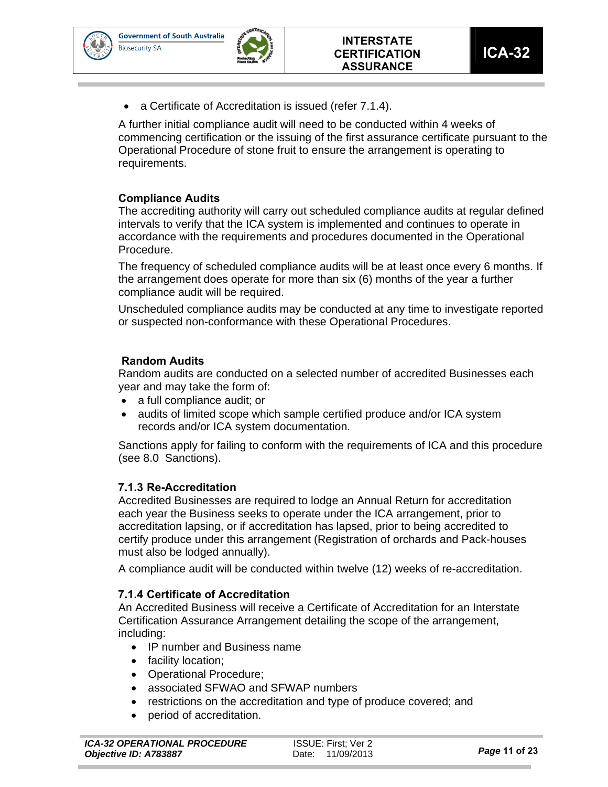

**ICA-32** 

a Certificate of Accreditation is issued (refer 7.1.4).

A further initial compliance audit will need to be conducted within 4 weeks of commencing certification or the issuing of the first assurance certificate pursuant to the Operational Procedure of stone fruit to ensure the arrangement is operating to requirements.

### **Compliance Audits**

The accrediting authority will carry out scheduled compliance audits at regular defined intervals to verify that the ICA system is implemented and continues to operate in accordance with the requirements and procedures documented in the Operational Procedure.

The frequency of scheduled compliance audits will be at least once every 6 months. If the arrangement does operate for more than six (6) months of the year a further compliance audit will be required.

Unscheduled compliance audits may be conducted at any time to investigate reported or suspected non-conformance with these Operational Procedures.

## **Random Audits**

Random audits are conducted on a selected number of accredited Businesses each year and may take the form of:

- a full compliance audit; or
- audits of limited scope which sample certified produce and/or ICA system records and/or ICA system documentation.

Sanctions apply for failing to conform with the requirements of ICA and this procedure (see 8.0 Sanctions).

### **7.1.3 Re-Accreditation**

Accredited Businesses are required to lodge an Annual Return for accreditation each year the Business seeks to operate under the ICA arrangement, prior to accreditation lapsing, or if accreditation has lapsed, prior to being accredited to certify produce under this arrangement (Registration of orchards and Pack-houses must also be lodged annually).

A compliance audit will be conducted within twelve (12) weeks of re-accreditation.

### **7.1.4 Certificate of Accreditation**

An Accredited Business will receive a Certificate of Accreditation for an Interstate Certification Assurance Arrangement detailing the scope of the arrangement, including:

- IP number and Business name
- facility location;
- Operational Procedure;
- associated SFWAO and SFWAP numbers
- restrictions on the accreditation and type of produce covered; and
- period of accreditation.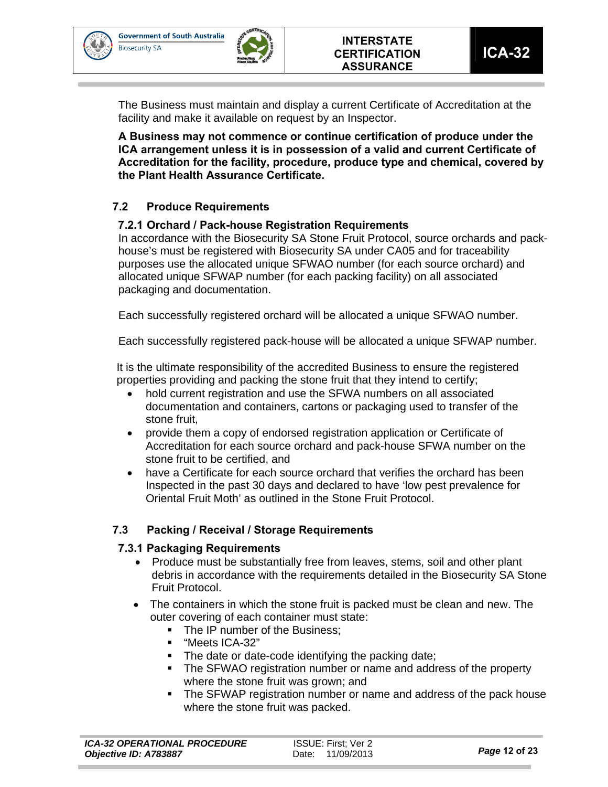



The Business must maintain and display a current Certificate of Accreditation at the facility and make it available on request by an Inspector.

**A Business may not commence or continue certification of produce under the ICA arrangement unless it is in possession of a valid and current Certificate of Accreditation for the facility, procedure, produce type and chemical, covered by the Plant Health Assurance Certificate.** 

## **7.2 Produce Requirements**

### **7.2.1 Orchard / Pack-house Registration Requirements**

In accordance with the Biosecurity SA Stone Fruit Protocol, source orchards and packhouse's must be registered with Biosecurity SA under CA05 and for traceability purposes use the allocated unique SFWAO number (for each source orchard) and allocated unique SFWAP number (for each packing facility) on all associated packaging and documentation.

Each successfully registered orchard will be allocated a unique SFWAO number.

Each successfully registered pack-house will be allocated a unique SFWAP number.

It is the ultimate responsibility of the accredited Business to ensure the registered properties providing and packing the stone fruit that they intend to certify;

- hold current registration and use the SFWA numbers on all associated documentation and containers, cartons or packaging used to transfer of the stone fruit,
- provide them a copy of endorsed registration application or Certificate of Accreditation for each source orchard and pack-house SFWA number on the stone fruit to be certified, and
- have a Certificate for each source orchard that verifies the orchard has been Inspected in the past 30 days and declared to have 'low pest prevalence for Oriental Fruit Moth' as outlined in the Stone Fruit Protocol.

### **7.3 Packing / Receival / Storage Requirements**

### **7.3.1 Packaging Requirements**

- Produce must be substantially free from leaves, stems, soil and other plant debris in accordance with the requirements detailed in the Biosecurity SA Stone Fruit Protocol.
- The containers in which the stone fruit is packed must be clean and new. The outer covering of each container must state:
	- The IP number of the Business:
	- "Meets ICA-32"
	- The date or date-code identifying the packing date;
	- The SFWAO registration number or name and address of the property where the stone fruit was grown; and
	- The SFWAP registration number or name and address of the pack house where the stone fruit was packed.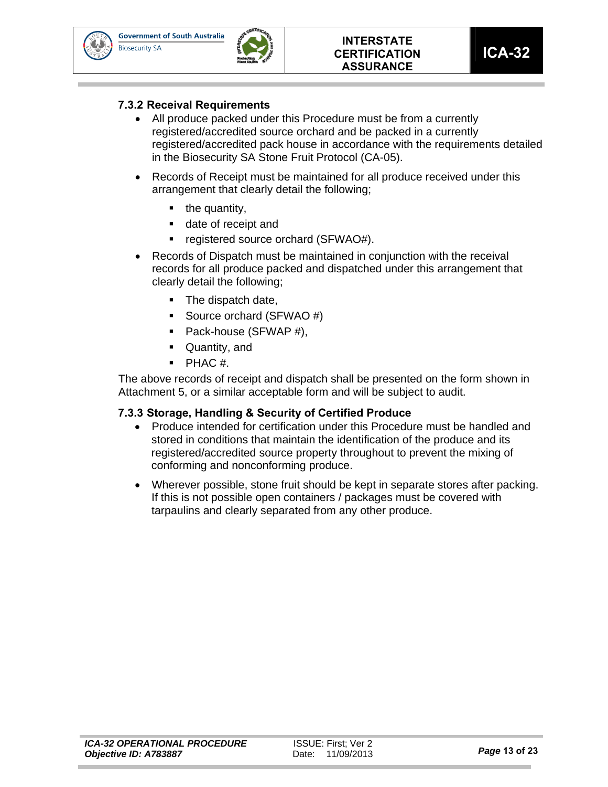



**ICA-32** 

### **7.3.2 Receival Requirements**

- All produce packed under this Procedure must be from a currently registered/accredited source orchard and be packed in a currently registered/accredited pack house in accordance with the requirements detailed in the Biosecurity SA Stone Fruit Protocol (CA-05).
- Records of Receipt must be maintained for all produce received under this arrangement that clearly detail the following;
	- $\blacksquare$  the quantity,
	- date of receipt and
	- registered source orchard (SFWAO#).
- Records of Dispatch must be maintained in conjunction with the receival records for all produce packed and dispatched under this arrangement that clearly detail the following;
	- The dispatch date,
	- Source orchard (SFWAO #)
	- Pack-house (SFWAP #),
	- **Quantity, and**
	- $\blacksquare$  PHAC #.

The above records of receipt and dispatch shall be presented on the form shown in Attachment 5, or a similar acceptable form and will be subject to audit.

### **7.3.3 Storage, Handling & Security of Certified Produce**

- Produce intended for certification under this Procedure must be handled and stored in conditions that maintain the identification of the produce and its registered/accredited source property throughout to prevent the mixing of conforming and nonconforming produce.
- Wherever possible, stone fruit should be kept in separate stores after packing. If this is not possible open containers / packages must be covered with tarpaulins and clearly separated from any other produce.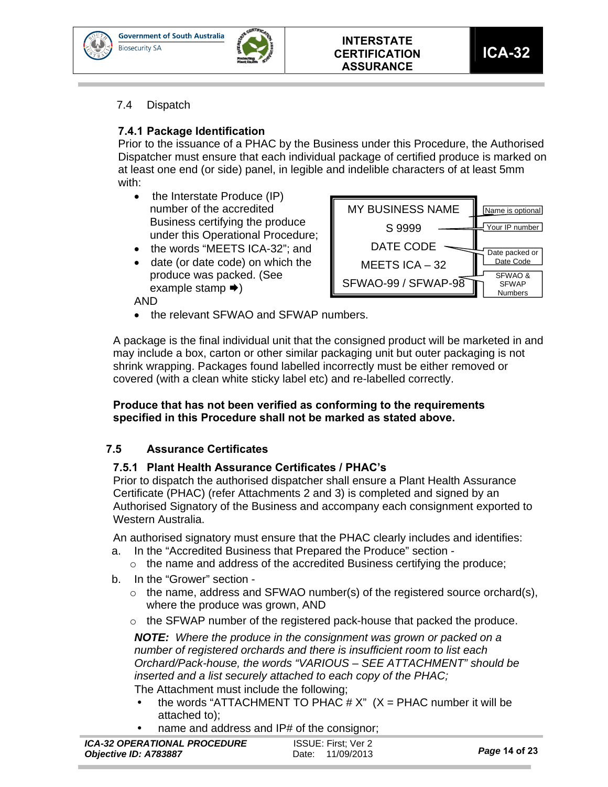



## **7.4.1 Package Identification**

Prior to the issuance of a PHAC by the Business under this Procedure, the Authorised Dispatcher must ensure that each individual package of certified produce is marked on at least one end (or side) panel, in legible and indelible characters of at least 5mm with:

- $\bullet$  the Interstate Produce (IP) number of the accredited Business certifying the produce under this Operational Procedure;
- the words "MEETS ICA-32": and
- date (or date code) on which the produce was packed. (See example stamp  $\rightarrow$ )

AND

- MY BUSINESS NAME S 9999 DATE CODE MEETS ICA – 32 SFWAO-99 / SFWAP-98 Your IP number SFWAO & **SFWAP** Numbers Name is optional Date packed or Date Code
- the relevant SFWAO and SFWAP numbers.

A package is the final individual unit that the consigned product will be marketed in and may include a box, carton or other similar packaging unit but outer packaging is not shrink wrapping. Packages found labelled incorrectly must be either removed or covered (with a clean white sticky label etc) and re-labelled correctly.

### **Produce that has not been verified as conforming to the requirements specified in this Procedure shall not be marked as stated above.**

## **7.5 Assurance Certificates**

### **7.5.1 Plant Health Assurance Certificates / PHAC's**

Prior to dispatch the authorised dispatcher shall ensure a Plant Health Assurance Certificate (PHAC) (refer Attachments 2 and 3) is completed and signed by an Authorised Signatory of the Business and accompany each consignment exported to Western Australia.

An authorised signatory must ensure that the PHAC clearly includes and identifies:

- a. In the "Accredited Business that Prepared the Produce" section
	- $\circ$  the name and address of the accredited Business certifying the produce;
- b. In the "Grower" section
	- $\circ$  the name, address and SFWAO number(s) of the registered source orchard(s), where the produce was grown, AND
	- $\circ$  the SFWAP number of the registered pack-house that packed the produce.

*NOTE: Where the produce in the consignment was grown or packed on a number of registered orchards and there is insufficient room to list each Orchard/Pack-house, the words "VARIOUS – SEE ATTACHMENT" should be inserted and a list securely attached to each copy of the PHAC;*  The Attachment must include the following;

- the words "ATTACHMENT TO PHAC  $# X$ "  $(X = PHAC$  number it will be attached to);
- name and address and IP# of the consignor;

| <b>ICA-32 OPERATIONAL PROCEDURE</b> | ISSUE: First: Ver 2 | Page 14 of 23 |
|-------------------------------------|---------------------|---------------|
| Objective ID: A783887               | Date: 11/09/2013    |               |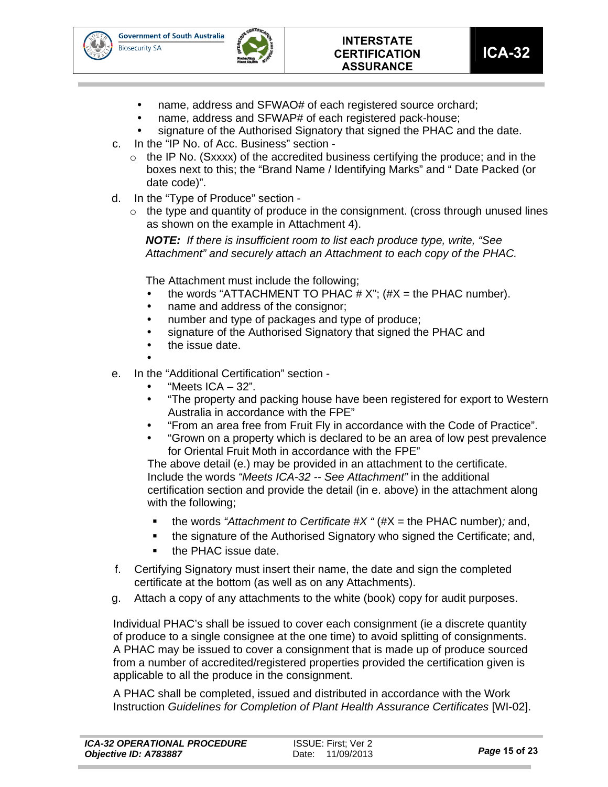



- name, address and SFWAO# of each registered source orchard;
- name, address and SFWAP# of each registered pack-house;
- signature of the Authorised Signatory that signed the PHAC and the date.
- c. In the "IP No. of Acc. Business" section
	- $\circ$  the IP No. (Sxxxx) of the accredited business certifying the produce; and in the boxes next to this; the "Brand Name / Identifying Marks" and " Date Packed (or date code)".
- d. In the "Type of Produce" section
	- $\circ$  the type and quantity of produce in the consignment. (cross through unused lines as shown on the example in Attachment 4).

*NOTE: If there is insufficient room to list each produce type, write, "See Attachment" and securely attach an Attachment to each copy of the PHAC.* 

The Attachment must include the following;

- the words "ATTACHMENT TO PHAC  $# X$ ";  $#X =$  the PHAC number).
- name and address of the consignor;
- number and type of packages and type of produce;
- signature of the Authorised Signatory that signed the PHAC and
- the issue date.

 $\bullet$ 

- e. In the "Additional Certification" section
	- "Meets ICA 32".
	- "The property and packing house have been registered for export to Western Australia in accordance with the FPE"
	- "From an area free from Fruit Fly in accordance with the Code of Practice".
	- "Grown on a property which is declared to be an area of low pest prevalence for Oriental Fruit Moth in accordance with the FPE"

The above detail (e.) may be provided in an attachment to the certificate. Include the words *"Meets ICA-32 -- See Attachment"* in the additional certification section and provide the detail (in e. above) in the attachment along with the following;

- the words *"Attachment to Certificate #X "* (#X = the PHAC number)*;* and,
- the signature of the Authorised Signatory who signed the Certificate; and,
- the PHAC issue date.
- f. Certifying Signatory must insert their name, the date and sign the completed certificate at the bottom (as well as on any Attachments).
- g. Attach a copy of any attachments to the white (book) copy for audit purposes.

Individual PHAC's shall be issued to cover each consignment (ie a discrete quantity of produce to a single consignee at the one time) to avoid splitting of consignments. A PHAC may be issued to cover a consignment that is made up of produce sourced from a number of accredited/registered properties provided the certification given is applicable to all the produce in the consignment.

A PHAC shall be completed, issued and distributed in accordance with the Work Instruction *Guidelines for Completion of Plant Health Assurance Certificates* [WI-02].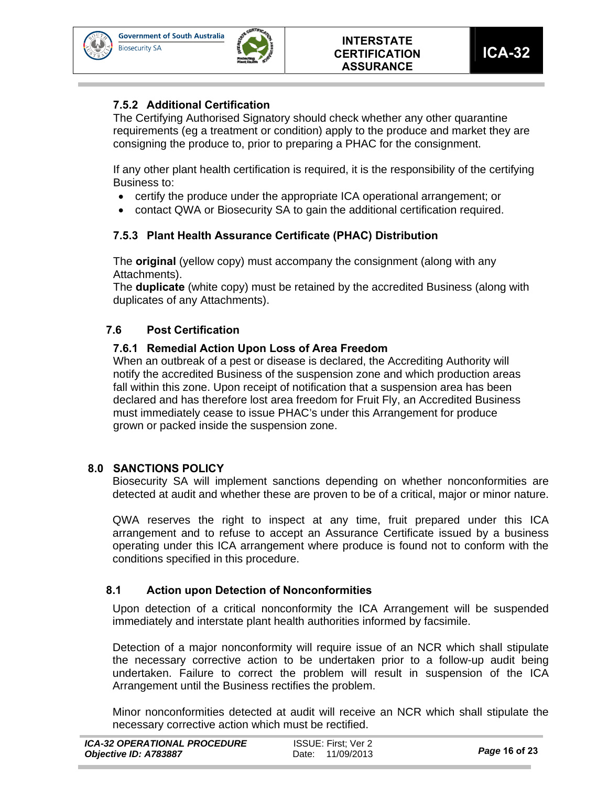



## **7.5.2 Additional Certification**

The Certifying Authorised Signatory should check whether any other quarantine requirements (eg a treatment or condition) apply to the produce and market they are consigning the produce to, prior to preparing a PHAC for the consignment.

If any other plant health certification is required, it is the responsibility of the certifying Business to:

- certify the produce under the appropriate ICA operational arrangement; or
- contact QWA or Biosecurity SA to gain the additional certification required.

## **7.5.3 Plant Health Assurance Certificate (PHAC) Distribution**

The **original** (yellow copy) must accompany the consignment (along with any Attachments).

The **duplicate** (white copy) must be retained by the accredited Business (along with duplicates of any Attachments).

## **7.6 Post Certification**

## **7.6.1 Remedial Action Upon Loss of Area Freedom**

When an outbreak of a pest or disease is declared, the Accrediting Authority will notify the accredited Business of the suspension zone and which production areas fall within this zone. Upon receipt of notification that a suspension area has been declared and has therefore lost area freedom for Fruit Fly, an Accredited Business must immediately cease to issue PHAC's under this Arrangement for produce grown or packed inside the suspension zone.

### **8.0 SANCTIONS POLICY**

Biosecurity SA will implement sanctions depending on whether nonconformities are detected at audit and whether these are proven to be of a critical, major or minor nature.

QWA reserves the right to inspect at any time, fruit prepared under this ICA arrangement and to refuse to accept an Assurance Certificate issued by a business operating under this ICA arrangement where produce is found not to conform with the conditions specified in this procedure.

### **8.1 Action upon Detection of Nonconformities**

Upon detection of a critical nonconformity the ICA Arrangement will be suspended immediately and interstate plant health authorities informed by facsimile.

Detection of a major nonconformity will require issue of an NCR which shall stipulate the necessary corrective action to be undertaken prior to a follow-up audit being undertaken. Failure to correct the problem will result in suspension of the ICA Arrangement until the Business rectifies the problem.

Minor nonconformities detected at audit will receive an NCR which shall stipulate the necessary corrective action which must be rectified.

| ICA-32 OPERATIONAL PROCEDURE | ISSUE: First: Ver 2 |               |
|------------------------------|---------------------|---------------|
| Objective ID: A783887        | Date: 11/09/2013    | Page 16 of 23 |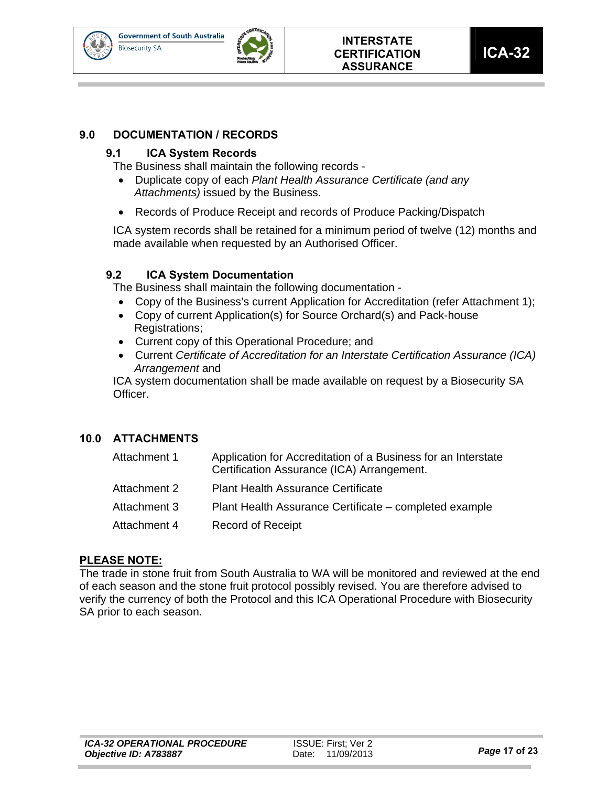



## **9.0 DOCUMENTATION / RECORDS**

#### **9.1 ICA System Records**

The Business shall maintain the following records -

- Duplicate copy of each *Plant Health Assurance Certificate (and any Attachments)* issued by the Business.
- Records of Produce Receipt and records of Produce Packing/Dispatch

ICA system records shall be retained for a minimum period of twelve (12) months and made available when requested by an Authorised Officer.

#### **9.2 ICA System Documentation**

The Business shall maintain the following documentation -

- Copy of the Business's current Application for Accreditation (refer Attachment 1);
- Copy of current Application(s) for Source Orchard(s) and Pack-house Registrations;
- Current copy of this Operational Procedure; and
- Current *Certificate of Accreditation for an Interstate Certification Assurance (ICA) Arrangement* and

ICA system documentation shall be made available on request by a Biosecurity SA Officer.

### **10.0 ATTACHMENTS**

| Attachment 1 | Application for Accreditation of a Business for an Interstate<br>Certification Assurance (ICA) Arrangement. |
|--------------|-------------------------------------------------------------------------------------------------------------|
| Attachment 2 | <b>Plant Health Assurance Certificate</b>                                                                   |
| Attachment 3 | Plant Health Assurance Certificate – completed example                                                      |
| Attachment 4 | <b>Record of Receipt</b>                                                                                    |

### **PLEASE NOTE:**

The trade in stone fruit from South Australia to WA will be monitored and reviewed at the end of each season and the stone fruit protocol possibly revised. You are therefore advised to verify the currency of both the Protocol and this ICA Operational Procedure with Biosecurity SA prior to each season.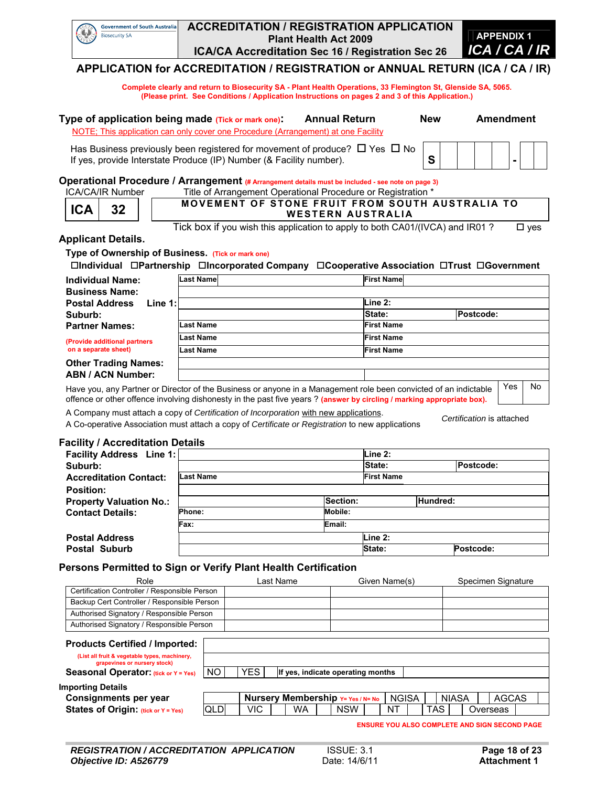| <b>Government of South Australia</b><br>Biosecurity SA | <b>ACCREDITATION / REGISTRATION APPLICATION</b><br><b>Plant Health Act 2009</b> | <b>APPENDIX 1</b> |
|--------------------------------------------------------|---------------------------------------------------------------------------------|-------------------|
|                                                        | ICA/CA Accreditation Sec 16 / Registration Sec 26                               | ICA / CA / IR     |
|                                                        |                                                                                 |                   |

## **APPLICATION for ACCREDITATION / REGISTRATION or ANNUAL RETURN (ICA / CA / IR)**

 **Complete clearly and return to Biosecurity SA - Plant Health Operations, 33 Flemington St, Glenside SA, 5065. (Please print. See Conditions / Application Instructions on pages 2 and 3 of this Application.)** 

| Type of application being made (Tick or mark one):<br>NOTE; This application can only cover one Procedure (Arrangement) at one Facility                                                      | <b>Annual Return</b> | <b>New</b> | Amendment |
|----------------------------------------------------------------------------------------------------------------------------------------------------------------------------------------------|----------------------|------------|-----------|
| Has Business previously been registered for movement of produce? $\Box$ Yes $\Box$ No  <br>If yes, provide Interstate Produce (IP) Number (& Facility number).                               |                      |            |           |
| Operational Procedure / Arrangement (# Arrangement details must be included - see note on page 3)<br>Title of Arrangement Operational Procedure or Registration *<br><b>ICA/CA/IR Number</b> |                      |            |           |

| <b>ICA</b> | <b>MOVEMENT OF STONE FRUIT FROM SOUTH AUSTRALIA TO</b><br><b>WESTERN AUSTRALIA</b>                      |
|------------|---------------------------------------------------------------------------------------------------------|
|            | $\overline{T}$ and heavely consistent that a contraction to construct the H-OAO4 ((NOA) and HDO4 O<br>— |

Tick box if you wish this application to apply to both CA01/(IVCA) and IR01 ? □ yes

#### **Applicant Details.**

**Type of Ownership of Business. (Tick or mark one)**

**Individual Partnership Incorporated Company Cooperative Association Trust Government**

| <b>Individual Name:</b>            | <b>Last Namel</b>                                                                                                | <b>First Name</b> |           |    |
|------------------------------------|------------------------------------------------------------------------------------------------------------------|-------------------|-----------|----|
| <b>Business Name:</b>              |                                                                                                                  |                   |           |    |
| <b>Postal Address</b><br>Line $1:$ | Line 2:                                                                                                          |                   |           |    |
| Suburb:                            |                                                                                                                  | State:            | Postcode: |    |
| <b>Partner Names:</b>              | Last Name                                                                                                        | <b>First Name</b> |           |    |
| (Provide additional partners       | <b>Last Name</b>                                                                                                 | <b>First Name</b> |           |    |
| on a separate sheet)               | <b>Last Name</b>                                                                                                 | <b>First Name</b> |           |    |
| <b>Other Trading Names:</b>        |                                                                                                                  |                   |           |    |
| <b>ABN / ACN Number:</b>           |                                                                                                                  |                   |           |    |
|                                    | Have you, any Partner or Director of the Rusiness or anyone in a Management role heen convicted of an indictable |                   | Yes       | No |

յս, any Partner or Director of the Business or anyone in a Management role been convicted of an indictable offence or other offence involving dishonesty in the past five years ? **(answer by circling / marking appropriate box).**

A Company must attach a copy of *Certification of Incorporation* with new applications. A Co-operative Association must attach a copy of *Certificate or Registration* to new applications *Certification* is attached

#### **Facility / Accreditation Details**

| <b>Facility Address</b> Line 1: |                  |          | Line 2:           |           |
|---------------------------------|------------------|----------|-------------------|-----------|
| Suburb:                         |                  |          | State:            | Postcode: |
| <b>Accreditation Contact:</b>   | <b>Last Name</b> |          | <b>First Name</b> |           |
| <b>Position:</b>                |                  |          |                   |           |
| <b>Property Valuation No.:</b>  |                  | Section: |                   | Hundred:  |
| <b>Contact Details:</b>         | Phone:           | Mobile:  |                   |           |
|                                 | Fax:             | Email:   |                   |           |
| <b>Postal Address</b>           |                  |          | Line 2:           |           |
| <b>Postal Suburb</b>            |                  |          | State:            | Postcode: |

#### **Persons Permitted to Sign or Verify Plant Health Certification**

| Role                                                                                                                                                                                       | Last Name                                     |  |      |  |  |    |  |                                   | Given Name(s) |  |     | Specimen Signature |                                                      |              |  |
|--------------------------------------------------------------------------------------------------------------------------------------------------------------------------------------------|-----------------------------------------------|--|------|--|--|----|--|-----------------------------------|---------------|--|-----|--------------------|------------------------------------------------------|--------------|--|
|                                                                                                                                                                                            | Certification Controller / Responsible Person |  |      |  |  |    |  |                                   |               |  |     |                    |                                                      |              |  |
| Backup Cert Controller / Responsible Person                                                                                                                                                |                                               |  |      |  |  |    |  |                                   |               |  |     |                    |                                                      |              |  |
| Authorised Signatory / Responsible Person                                                                                                                                                  |                                               |  |      |  |  |    |  |                                   |               |  |     |                    |                                                      |              |  |
| Authorised Signatory / Responsible Person                                                                                                                                                  |                                               |  |      |  |  |    |  |                                   |               |  |     |                    |                                                      |              |  |
| <b>Products Certified / Imported:</b><br>(List all fruit & vegetable types, machinery,<br>grapevines or nursery stock)<br>Seasonal Operator: (tick or Y = Yes)<br><b>Importing Details</b> | NO.                                           |  | YES. |  |  |    |  | If yes, indicate operating months |               |  |     |                    |                                                      |              |  |
| Consignments per year                                                                                                                                                                      |                                               |  |      |  |  |    |  | Nursery Membership Y= Yes / N= No | <b>NGISA</b>  |  |     | <b>NIASA</b>       |                                                      | <b>AGCAS</b> |  |
| States of Origin: (tick or Y = Yes)                                                                                                                                                        | <b>QLD</b>                                    |  | VIC. |  |  | WA |  | <b>NSW</b>                        | NΤ            |  | TAS |                    | Overseas                                             |              |  |
|                                                                                                                                                                                            |                                               |  |      |  |  |    |  |                                   |               |  |     |                    | <b>ENSURE YOU ALSO COMPLETE AND SIGN SECOND PAGE</b> |              |  |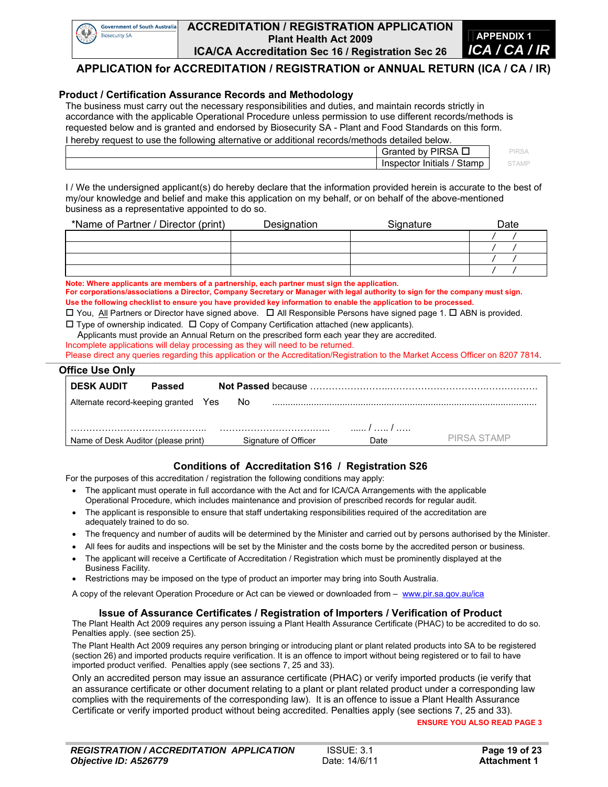

#### **ACCREDITATION / REGISTRATION APPLICATION Plant Health Act 2009 ICA/CA Accreditation Sec 16 / Registration Sec 26**



#### **APPLICATION for ACCREDITATION / REGISTRATION or ANNUAL RETURN (ICA / CA / IR)**

#### **Product / Certification Assurance Records and Methodology**

The business must carry out the necessary responsibilities and duties, and maintain records strictly in accordance with the applicable Operational Procedure unless permission to use different records/methods is requested below and is granted and endorsed by Biosecurity SA - Plant and Food Standards on this form. I hereby request to use the following alternative or additional records/methods detailed below.

| <u>TICLEDY TEQUEST IO USE INC TOITOWITY AITENTIALIVE OF AUGHTOLIAL LECOLUS/THEITIOUS UETAITEU DEIOW.</u> |                             |       |
|----------------------------------------------------------------------------------------------------------|-----------------------------|-------|
|                                                                                                          | Granted by PIRSA            | 기RS/  |
|                                                                                                          | Stamp<br>Inspector Initials | STAMF |

I / We the undersigned applicant(s) do hereby declare that the information provided herein is accurate to the best of my/our knowledge and belief and make this application on my behalf, or on behalf of the above-mentioned business as a representative appointed to do so.

| *Name of Partner / Director (print) | Designation | Signature | Date |
|-------------------------------------|-------------|-----------|------|
|                                     |             |           |      |
|                                     |             |           |      |
|                                     |             |           |      |
|                                     |             |           |      |

**Note: Where applicants are members of a partnership, each partner must sign the application.** 

**For corporations/associations a Director, Company Secretary or Manager with legal authority to sign for the company must sign. Use the following checklist to ensure you have provided key information to enable the application to be processed.** 

 $\Box$  You, All Partners or Director have signed above.  $\Box$  All Responsible Persons have signed page 1.  $\Box$  ABN is provided.  $\Box$  Type of ownership indicated.  $\Box$  Copy of Company Certification attached (new applicants).

Applicants must provide an Annual Return on the prescribed form each year they are accredited.

Incomplete applications will delay processing as they will need to be returned.

Please direct any queries regarding this application or the Accreditation/Registration to the Market Access Officer on 8207 7814.

#### **\_\_\_\_\_\_\_\_\_\_\_\_\_\_\_\_\_\_\_\_\_\_\_\_\_\_\_\_\_\_\_\_\_\_\_\_\_\_\_\_\_\_\_\_\_\_\_\_\_\_\_\_\_\_\_\_\_\_\_\_\_\_\_\_\_\_\_\_\_\_\_\_\_\_\_\_\_\_\_\_\_\_\_\_\_\_\_\_\_\_\_\_\_\_\_\_\_\_\_\_\_\_\_\_\_\_\_\_\_\_\_\_\_\_\_\_\_\_\_\_\_\_\_\_\_\_\_\_\_\_\_\_\_\_\_\_\_\_\_\_\_\_\_\_\_\_\_\_\_\_\_\_\_\_\_\_\_\_\_\_\_\_\_\_\_\_\_\_\_\_\_\_\_\_\_\_\_\_\_\_\_\_\_\_\_\_\_\_\_\_\_\_\_\_\_\_\_\_\_\_\_\_\_\_\_\_\_\_\_\_\_\_\_\_\_\_\_\_\_\_\_\_\_\_\_\_\_\_\_\_\_\_\_\_\_\_\_\_\_\_\_\_\_\_\_\_\_\_ Office Use Only**

| <b>DESK AUDIT</b>                    | Passed |                      |      |             |
|--------------------------------------|--------|----------------------|------|-------------|
| Alternate record-keeping granted Yes |        | No.                  |      |             |
|                                      |        |                      |      |             |
| Name of Desk Auditor (please print)  |        | Signature of Officer | Date | PIRSA STAMP |

#### **Conditions of Accreditation S16 / Registration S26**

For the purposes of this accreditation / registration the following conditions may apply:

- The applicant must operate in full accordance with the Act and for ICA/CA Arrangements with the applicable Operational Procedure, which includes maintenance and provision of prescribed records for regular audit.
- The applicant is responsible to ensure that staff undertaking responsibilities required of the accreditation are adequately trained to do so.
- The frequency and number of audits will be determined by the Minister and carried out by persons authorised by the Minister.
- All fees for audits and inspections will be set by the Minister and the costs borne by the accredited person or business.
- The applicant will receive a Certificate of Accreditation / Registration which must be prominently displayed at the Business Facility.
- Restrictions may be imposed on the type of product an importer may bring into South Australia.

A copy of the relevant Operation Procedure or Act can be viewed or downloaded from – www.pir.sa.gov.au/ica

#### **Issue of Assurance Certificates / Registration of Importers / Verification of Product**

The Plant Health Act 2009 requires any person issuing a Plant Health Assurance Certificate (PHAC) to be accredited to do so. Penalties apply. (see section 25).

The Plant Health Act 2009 requires any person bringing or introducing plant or plant related products into SA to be registered (section 26) and imported products require verification. It is an offence to import without being registered or to fail to have imported product verified. Penalties apply (see sections 7, 25 and 33).

Only an accredited person may issue an assurance certificate (PHAC) or verify imported products (ie verify that an assurance certificate or other document relating to a plant or plant related product under a corresponding law complies with the requirements of the corresponding law). It is an offence to issue a Plant Health Assurance Certificate or verify imported product without being accredited. Penalties apply (see sections 7, 25 and 33).

**ENSURE YOU ALSO READ PAGE 3**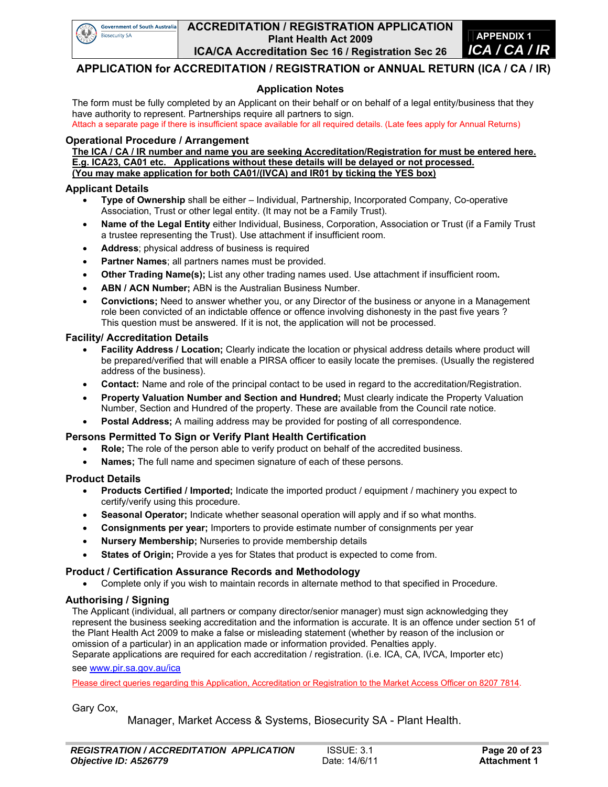

#### **ACCREDITATION / REGISTRATION APPLICATION Plant Health Act 2009 ICA/CA Accreditation Sec 16 / Registration Sec 26**



#### **APPLICATION for ACCREDITATION / REGISTRATION or ANNUAL RETURN (ICA / CA / IR)**

#### **Application Notes**

The form must be fully completed by an Applicant on their behalf or on behalf of a legal entity/business that they have authority to represent. Partnerships require all partners to sign.

Attach a separate page if there is insufficient space available for all required details. (Late fees apply for Annual Returns)

#### **Operational Procedure / Arrangement**

**The ICA / CA / IR number and name you are seeking Accreditation/Registration for must be entered here. E.g. ICA23, CA01 etc. Applications without these details will be delayed or not processed. (You may make application for both CA01/(IVCA) and IR01 by ticking the YES box)** 

#### **Applicant Details**

- **Type of Ownership** shall be either Individual, Partnership, Incorporated Company, Co-operative Association, Trust or other legal entity. (It may not be a Family Trust).
- **Name of the Legal Entity** either Individual, Business, Corporation, Association or Trust (if a Family Trust a trustee representing the Trust). Use attachment if insufficient room.
- **Address**; physical address of business is required
- **Partner Names**; all partners names must be provided.
- **Other Trading Name(s);** List any other trading names used. Use attachment if insufficient room**.**
- **ABN / ACN Number;** ABN is the Australian Business Number.
- **Convictions;** Need to answer whether you, or any Director of the business or anyone in a Management role been convicted of an indictable offence or offence involving dishonesty in the past five years ? This question must be answered. If it is not, the application will not be processed.

#### **Facility/ Accreditation Details**

- **Facility Address / Location;** Clearly indicate the location or physical address details where product will be prepared/verified that will enable a PIRSA officer to easily locate the premises. (Usually the registered address of the business).
- **Contact:** Name and role of the principal contact to be used in regard to the accreditation/Registration.
- **Property Valuation Number and Section and Hundred;** Must clearly indicate the Property Valuation Number, Section and Hundred of the property. These are available from the Council rate notice.
- **Postal Address;** A mailing address may be provided for posting of all correspondence.

#### **Persons Permitted To Sign or Verify Plant Health Certification**

- **Role;** The role of the person able to verify product on behalf of the accredited business.
- **Names;** The full name and specimen signature of each of these persons.

#### **Product Details**

- **Products Certified / Imported;** Indicate the imported product / equipment / machinery you expect to certify/verify using this procedure.
- **Seasonal Operator;** Indicate whether seasonal operation will apply and if so what months.
- **Consignments per year;** Importers to provide estimate number of consignments per year
- **Nursery Membership;** Nurseries to provide membership details
- **States of Origin;** Provide a yes for States that product is expected to come from.

#### **Product / Certification Assurance Records and Methodology**

Complete only if you wish to maintain records in alternate method to that specified in Procedure.

#### **Authorising / Signing**

The Applicant (individual, all partners or company director/senior manager) must sign acknowledging they represent the business seeking accreditation and the information is accurate. It is an offence under section 51 of the Plant Health Act 2009 to make a false or misleading statement (whether by reason of the inclusion or omission of a particular) in an application made or information provided. Penalties apply.

Separate applications are required for each accreditation / registration. (i.e. ICA, CA, IVCA, Importer etc) see www.pir.sa.gov.au/ica

Please direct queries regarding this Application, Accreditation or Registration to the Market Access Officer on 8207 7814.

Gary Cox,

Manager, Market Access & Systems, Biosecurity SA - Plant Health.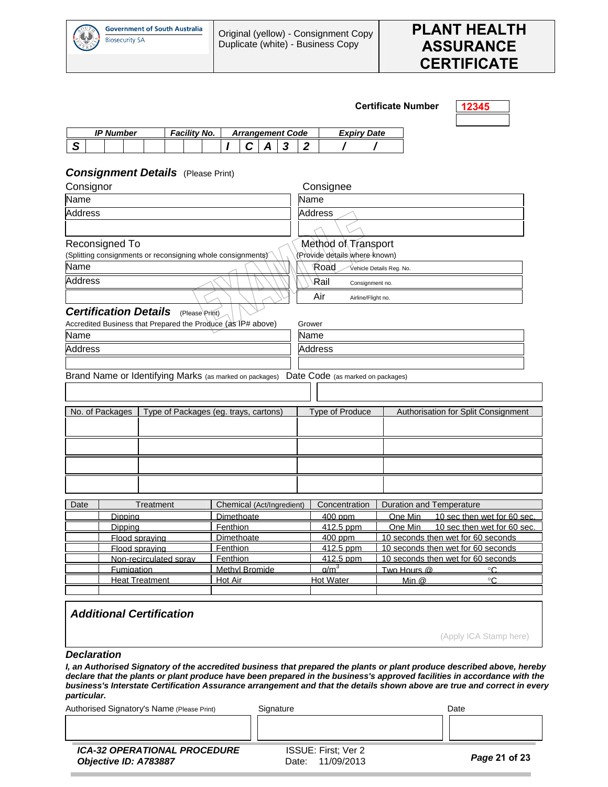

#### **Certificate Number 12345**

|        | IP Number |  | ' No. |  |  |  | <b>Arrangement Code</b> | Date<br>Expirv |  |  |  |
|--------|-----------|--|-------|--|--|--|-------------------------|----------------|--|--|--|
| ⌒<br>œ |           |  |       |  |  |  |                         |                |  |  |  |

#### *Consignment Details* (Please Print)

| Consignor      |                              |                                                                                |                                       | Consignee                                                     |                                   |                          |                                    |  |  |  |  |  |  |
|----------------|------------------------------|--------------------------------------------------------------------------------|---------------------------------------|---------------------------------------------------------------|-----------------------------------|--------------------------|------------------------------------|--|--|--|--|--|--|
| Name           |                              |                                                                                |                                       | Name                                                          |                                   |                          |                                    |  |  |  |  |  |  |
| <b>Address</b> |                              |                                                                                |                                       | <b>Address</b>                                                |                                   |                          |                                    |  |  |  |  |  |  |
|                |                              |                                                                                |                                       |                                                               |                                   |                          |                                    |  |  |  |  |  |  |
|                | Reconsigned To               |                                                                                |                                       | Method of Transport                                           |                                   |                          |                                    |  |  |  |  |  |  |
|                |                              | (Splitting consignments or reconsigning whole consignments)                    |                                       | (Provide details where known)                                 |                                   |                          |                                    |  |  |  |  |  |  |
| Name           |                              |                                                                                |                                       |                                                               | Road                              | Vehicle Details Reg. No. |                                    |  |  |  |  |  |  |
| <b>Address</b> |                              |                                                                                |                                       |                                                               | Rail<br>Consignment no.           |                          |                                    |  |  |  |  |  |  |
|                |                              |                                                                                |                                       |                                                               | Air<br>Airline/Flight no.         |                          |                                    |  |  |  |  |  |  |
|                | <b>Certification Details</b> | (Please Print)<br>Accredited Business that Prepared the Produce (as IP# above) |                                       | Grower                                                        |                                   |                          |                                    |  |  |  |  |  |  |
| Name           |                              |                                                                                |                                       |                                                               | Name                              |                          |                                    |  |  |  |  |  |  |
| <b>Address</b> |                              |                                                                                |                                       |                                                               | <b>Address</b>                    |                          |                                    |  |  |  |  |  |  |
|                |                              |                                                                                |                                       |                                                               |                                   |                          |                                    |  |  |  |  |  |  |
|                |                              |                                                                                |                                       |                                                               |                                   |                          |                                    |  |  |  |  |  |  |
|                |                              | Brand Name or Identifying Marks (as marked on packages)                        |                                       |                                                               | Date Code (as marked on packages) |                          |                                    |  |  |  |  |  |  |
|                |                              |                                                                                |                                       |                                                               |                                   |                          |                                    |  |  |  |  |  |  |
|                | No. of Packages              |                                                                                | Type of Packages (eg. trays, cartons) | <b>Type of Produce</b><br>Authorisation for Split Consignment |                                   |                          |                                    |  |  |  |  |  |  |
|                |                              |                                                                                |                                       |                                                               |                                   |                          |                                    |  |  |  |  |  |  |
|                |                              |                                                                                |                                       |                                                               |                                   |                          |                                    |  |  |  |  |  |  |
|                |                              |                                                                                |                                       |                                                               |                                   |                          |                                    |  |  |  |  |  |  |
|                |                              |                                                                                |                                       |                                                               |                                   |                          |                                    |  |  |  |  |  |  |
|                |                              |                                                                                |                                       |                                                               |                                   |                          |                                    |  |  |  |  |  |  |
| Date           |                              | Treatment                                                                      | Chemical (Act/Ingredient)             |                                                               | Concentration                     |                          | Duration and Temperature           |  |  |  |  |  |  |
|                | Dipping                      |                                                                                | Dimethoate                            |                                                               | 400 ppm                           | One Min                  | 10 sec then wet for 60 sec.        |  |  |  |  |  |  |
|                | Dipping                      |                                                                                | Fenthion                              |                                                               | 412.5 ppm                         | One Min                  | 10 sec then wet for 60 sec.        |  |  |  |  |  |  |
|                | Flood spraying               |                                                                                | Dimethoate                            |                                                               | 400 ppm                           |                          | 10 seconds then wet for 60 seconds |  |  |  |  |  |  |
|                | Flood spraving               |                                                                                | Fenthion                              |                                                               | 412.5 ppm                         |                          | 10 seconds then wet for 60 seconds |  |  |  |  |  |  |
|                |                              | Non-recirculated sprav                                                         | Fenthion                              |                                                               | 412.5 ppm                         |                          | 10 seconds then wet for 60 seconds |  |  |  |  |  |  |
|                | Fumigation                   |                                                                                | Methyl Bromide                        |                                                               | a/m <sup>3</sup>                  | Two Hours @              | °C                                 |  |  |  |  |  |  |
|                |                              | <b>Heat Treatment</b>                                                          | Hot Air                               |                                                               | <b>Hot Water</b>                  | Min $@$                  | ۰C                                 |  |  |  |  |  |  |
|                |                              |                                                                                |                                       |                                                               |                                   |                          |                                    |  |  |  |  |  |  |
|                |                              |                                                                                |                                       |                                                               |                                   |                          |                                    |  |  |  |  |  |  |

## *Additional Certification*

(Apply ICA Stamp here)

*Declaration* 

 $\overline{\phantom{a}}$ 

*I, an Authorised Signatory of the accredited business that prepared the plants or plant produce described above, hereby declare that the plants or plant produce have been prepared in the business's approved facilities in accordance with the business's Interstate Certification Assurance arrangement and that the details shown above are true and correct in every particular.* 

Authorised Signatory's Name (Please Print) Signature Signature Controller and Date

*ICA-32 OPERATIONAL PROCEDURE Objective ID: A783887* 

ISSUE: First; Ver 2 Date: 11/09/2013 *Page* **21 of 23**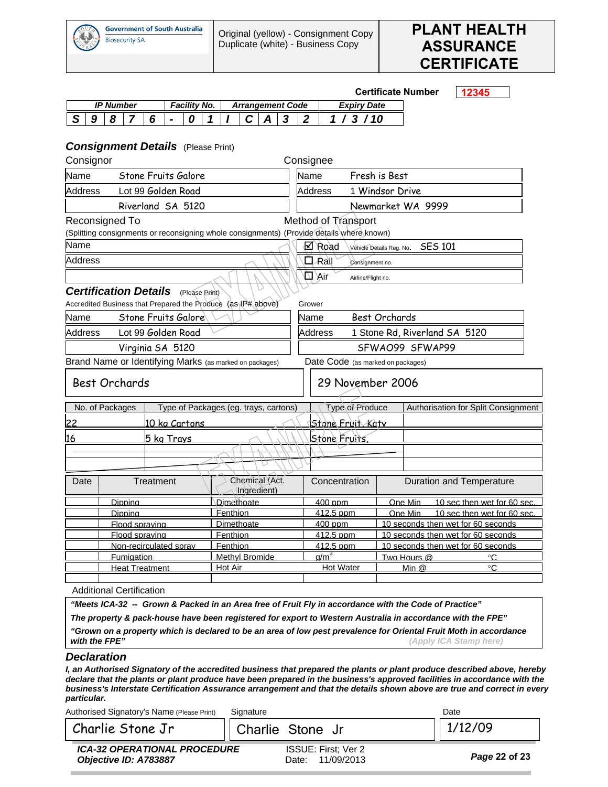



|                                                              |  |   |                   |                                                                  |                       |  |                            |                |  |                                       |                                               |   |                               |                                                                                                            |                          | <b>Certificate Number</b>                                                |         | 12345 |                             |  |  |  |  |
|--------------------------------------------------------------|--|---|-------------------|------------------------------------------------------------------|-----------------------|--|----------------------------|----------------|--|---------------------------------------|-----------------------------------------------|---|-------------------------------|------------------------------------------------------------------------------------------------------------|--------------------------|--------------------------------------------------------------------------|---------|-------|-----------------------------|--|--|--|--|
|                                                              |  |   | <b>IP Number</b>  |                                                                  |                       |  | <b>Facility No.</b>        |                |  |                                       | <b>Arrangement Code</b><br><b>Expiry Date</b> |   |                               |                                                                                                            |                          |                                                                          |         |       |                             |  |  |  |  |
| S<br>9                                                       |  | 8 | 7                 |                                                                  | 6                     |  | 0                          |                |  | C                                     |                                               | 3 | $\boldsymbol{2}$              | 1/3/10                                                                                                     |                          |                                                                          |         |       |                             |  |  |  |  |
| <b>Consignment Details</b> (Please Print)<br>Consignor       |  |   |                   |                                                                  |                       |  |                            |                |  |                                       |                                               |   | Consignee                     |                                                                                                            |                          |                                                                          |         |       |                             |  |  |  |  |
| Name                                                         |  |   |                   |                                                                  |                       |  | <b>Stone Fruits Galore</b> |                |  |                                       |                                               |   | Name<br>Fresh is Best         |                                                                                                            |                          |                                                                          |         |       |                             |  |  |  |  |
| <b>Address</b>                                               |  |   |                   |                                                                  |                       |  | Lot 99 Golden Road         |                |  |                                       |                                               |   | Address<br>1 Windsor Drive    |                                                                                                            |                          |                                                                          |         |       |                             |  |  |  |  |
|                                                              |  |   |                   |                                                                  |                       |  | Riverland SA 5120          |                |  |                                       |                                               |   |                               |                                                                                                            |                          | Newmarket WA 9999                                                        |         |       |                             |  |  |  |  |
| Reconsigned To                                               |  |   |                   |                                                                  |                       |  |                            |                |  |                                       |                                               |   |                               | Method of Transport                                                                                        |                          |                                                                          |         |       |                             |  |  |  |  |
| Name                                                         |  |   |                   |                                                                  |                       |  |                            |                |  |                                       |                                               |   |                               | (Splitting consignments or reconsigning whole consignments) (Provide details where known)                  |                          |                                                                          |         |       |                             |  |  |  |  |
| Address                                                      |  |   |                   |                                                                  |                       |  |                            |                |  |                                       |                                               |   |                               | ⊠ Road                                                                                                     | Vehicle Details Reg. No. |                                                                          | SES 101 |       |                             |  |  |  |  |
|                                                              |  |   |                   |                                                                  |                       |  |                            |                |  |                                       |                                               |   |                               | □ Rail<br>Consignment no.                                                                                  |                          |                                                                          |         |       |                             |  |  |  |  |
| <b>Certification Details</b>                                 |  |   |                   |                                                                  |                       |  |                            | (Please Print) |  |                                       |                                               |   |                               | 山 Xir<br>Airline/Flight no.                                                                                |                          |                                                                          |         |       |                             |  |  |  |  |
| Accredited Business that Prepared the Produce (as IP# above) |  |   |                   |                                                                  |                       |  |                            |                |  |                                       |                                               |   | Grower                        |                                                                                                            |                          |                                                                          |         |       |                             |  |  |  |  |
| Name                                                         |  |   |                   |                                                                  |                       |  | Stone Fruits Galore        |                |  |                                       |                                               |   | Best Orchards<br>Name         |                                                                                                            |                          |                                                                          |         |       |                             |  |  |  |  |
| Lot 99 Golden Road<br><b>Address</b>                         |  |   |                   |                                                                  |                       |  |                            |                |  |                                       | <b>Address</b>                                |   | 1 Stone Rd, Riverland SA 5120 |                                                                                                            |                          |                                                                          |         |       |                             |  |  |  |  |
|                                                              |  |   |                   |                                                                  |                       |  | Virginia SA 5120           |                |  |                                       |                                               |   |                               |                                                                                                            |                          | SFWAO99 SFWAP99                                                          |         |       |                             |  |  |  |  |
| Brand Name or Identifying Marks (as marked on packages)      |  |   |                   |                                                                  |                       |  |                            |                |  |                                       |                                               |   |                               | Date Code (as marked on packages)                                                                          |                          |                                                                          |         |       |                             |  |  |  |  |
| <b>Best Orchards</b>                                         |  |   |                   |                                                                  |                       |  |                            |                |  |                                       |                                               |   |                               | 29 November 2006                                                                                           |                          |                                                                          |         |       |                             |  |  |  |  |
| No. of Packages                                              |  |   |                   |                                                                  |                       |  |                            |                |  | Type of Packages (eg. trays, cartons) |                                               |   |                               | Type of Produce                                                                                            |                          | Authorisation for Split Consignment                                      |         |       |                             |  |  |  |  |
| 22                                                           |  |   |                   |                                                                  |                       |  | 10 kg Cartons              |                |  |                                       |                                               |   |                               | <u> IStone Fruit Katv</u>                                                                                  |                          |                                                                          |         |       |                             |  |  |  |  |
| 16                                                           |  |   |                   |                                                                  |                       |  | 5 kg Trays                 |                |  |                                       |                                               |   |                               | <b>Stone Fruits</b>                                                                                        |                          |                                                                          |         |       |                             |  |  |  |  |
|                                                              |  |   |                   |                                                                  |                       |  |                            |                |  |                                       |                                               |   |                               |                                                                                                            |                          |                                                                          |         |       |                             |  |  |  |  |
|                                                              |  |   |                   |                                                                  |                       |  |                            |                |  |                                       |                                               |   |                               |                                                                                                            |                          |                                                                          |         |       |                             |  |  |  |  |
| Date                                                         |  |   |                   |                                                                  | Treatment             |  |                            |                |  | Chemical (Act.                        | Ingredient)                                   |   |                               | Concentration                                                                                              |                          | Duration and Temperature                                                 |         |       |                             |  |  |  |  |
|                                                              |  |   | Dippina           |                                                                  |                       |  |                            |                |  | Dimethoate                            |                                               |   |                               | 400 ppm                                                                                                    |                          | One Min                                                                  |         |       | 10 sec then wet for 60 sec. |  |  |  |  |
|                                                              |  |   | Dippina           |                                                                  |                       |  |                            |                |  | Fenthion                              |                                               |   |                               | 412.5 ppm                                                                                                  |                          | One Min                                                                  |         |       | 10 sec then wet for 60 sec. |  |  |  |  |
|                                                              |  |   |                   |                                                                  | Flood spraving        |  |                            |                |  | <b>Dimethoate</b>                     |                                               |   |                               | <u>400 ppm</u><br>412.5 ppm                                                                                |                          | 10 seconds then wet for 60 seconds<br>10 seconds then wet for 60 seconds |         |       |                             |  |  |  |  |
|                                                              |  |   |                   | Fenthion<br>Flood spraving<br>Fenthion<br>Non-recirculated spray |                       |  |                            |                |  |                                       |                                               |   |                               | 412.5 ppm                                                                                                  |                          |                                                                          |         |       |                             |  |  |  |  |
|                                                              |  |   | <b>Fumigation</b> |                                                                  |                       |  |                            |                |  | Methyl Bromide                        |                                               |   |                               | a/m <sup>3</sup>                                                                                           |                          | 10 seconds then wet for 60 seconds<br>۰C<br>Two Hours @                  |         |       |                             |  |  |  |  |
|                                                              |  |   |                   |                                                                  | <b>Heat Treatment</b> |  |                            |                |  | Hot Air                               |                                               |   |                               | Hot Water                                                                                                  |                          | Min $@$                                                                  |         |       | $^{\circ}$ C                |  |  |  |  |
|                                                              |  |   |                   |                                                                  |                       |  |                            |                |  |                                       |                                               |   |                               |                                                                                                            |                          |                                                                          |         |       |                             |  |  |  |  |
| <b>Additional Certification</b>                              |  |   |                   |                                                                  |                       |  |                            |                |  |                                       |                                               |   |                               |                                                                                                            |                          |                                                                          |         |       |                             |  |  |  |  |
|                                                              |  |   |                   |                                                                  |                       |  |                            |                |  |                                       |                                               |   |                               | "Meets ICA-32 -- Grown & Packed in an Area free of Fruit Fly in accordance with the Code of Practice"      |                          |                                                                          |         |       |                             |  |  |  |  |
|                                                              |  |   |                   |                                                                  |                       |  |                            |                |  |                                       |                                               |   |                               | The property & pack-house have been registered for export to Western Australia in accordance with the FPE" |                          |                                                                          |         |       |                             |  |  |  |  |

*"Grown on a property which is declared to be an area of low pest prevalence for Oriental Fruit Moth in accordance (Apply ICA Stamp here)* 

#### *Declaration*

*I, an Authorised Signatory of the accredited business that prepared the plants or plant produce described above, hereby declare that the plants or plant produce have been prepared in the business's approved facilities in accordance with the business's Interstate Certification Assurance arrangement and that the details shown above are true and correct in every particular.* 

Authorised Signatory's Name (Please Print) Signature Contract Contract Contract Date

Charlie Stone  $Jr$  | Charlie Stone Jr |  $1/12/09$ 

*ICA-32 OPERATIONAL PROCEDURE Objective ID: A783887* 

ISSUE: First; Ver 2 Date: 11/09/2013 *Page* **22 of 23**